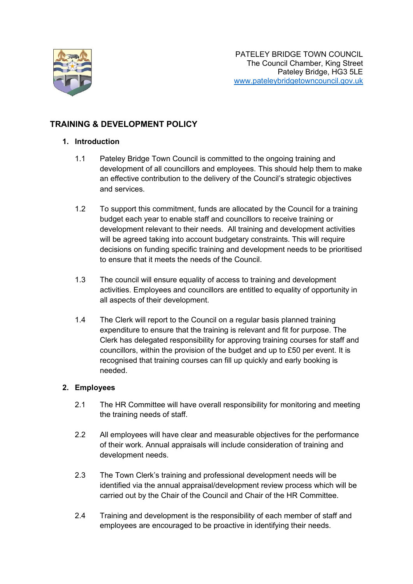

# **TRAINING & DEVELOPMENT POLICY**

### **1. Introduction**

- 1.1 Pateley Bridge Town Council is committed to the ongoing training and development of all councillors and employees. This should help them to make an effective contribution to the delivery of the Council's strategic objectives and services.
- 1.2 To support this commitment, funds are allocated by the Council for a training budget each year to enable staff and councillors to receive training or development relevant to their needs. All training and development activities will be agreed taking into account budgetary constraints. This will require decisions on funding specific training and development needs to be prioritised to ensure that it meets the needs of the Council.
- 1.3 The council will ensure equality of access to training and development activities. Employees and councillors are entitled to equality of opportunity in all aspects of their development.
- 1.4 The Clerk will report to the Council on a regular basis planned training expenditure to ensure that the training is relevant and fit for purpose. The Clerk has delegated responsibility for approving training courses for staff and councillors, within the provision of the budget and up to £50 per event. It is recognised that training courses can fill up quickly and early booking is needed.

# **2. Employees**

- 2.1 The HR Committee will have overall responsibility for monitoring and meeting the training needs of staff.
- 2.2 All employees will have clear and measurable objectives for the performance of their work. Annual appraisals will include consideration of training and development needs.
- 2.3 The Town Clerk's training and professional development needs will be identified via the annual appraisal/development review process which will be carried out by the Chair of the Council and Chair of the HR Committee.
- 2.4 Training and development is the responsibility of each member of staff and employees are encouraged to be proactive in identifying their needs.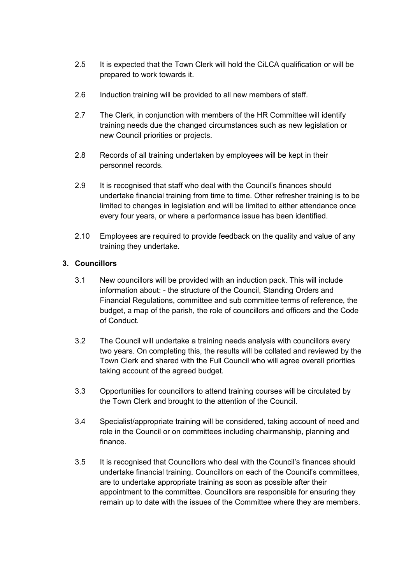- 2.5 It is expected that the Town Clerk will hold the CiLCA qualification or will be prepared to work towards it.
- 2.6 Induction training will be provided to all new members of staff.
- 2.7 The Clerk, in conjunction with members of the HR Committee will identify training needs due the changed circumstances such as new legislation or new Council priorities or projects.
- 2.8 Records of all training undertaken by employees will be kept in their personnel records.
- 2.9 It is recognised that staff who deal with the Council's finances should undertake financial training from time to time. Other refresher training is to be limited to changes in legislation and will be limited to either attendance once every four years, or where a performance issue has been identified.
- 2.10 Employees are required to provide feedback on the quality and value of any training they undertake.

# **3. Councillors**

- 3.1 New councillors will be provided with an induction pack. This will include information about: - the structure of the Council, Standing Orders and Financial Regulations, committee and sub committee terms of reference, the budget, a map of the parish, the role of councillors and officers and the Code of Conduct.
- 3.2 The Council will undertake a training needs analysis with councillors every two years. On completing this, the results will be collated and reviewed by the Town Clerk and shared with the Full Council who will agree overall priorities taking account of the agreed budget.
- 3.3 Opportunities for councillors to attend training courses will be circulated by the Town Clerk and brought to the attention of the Council.
- 3.4 Specialist/appropriate training will be considered, taking account of need and role in the Council or on committees including chairmanship, planning and finance.
- 3.5 It is recognised that Councillors who deal with the Council's finances should undertake financial training. Councillors on each of the Council's committees, are to undertake appropriate training as soon as possible after their appointment to the committee. Councillors are responsible for ensuring they remain up to date with the issues of the Committee where they are members.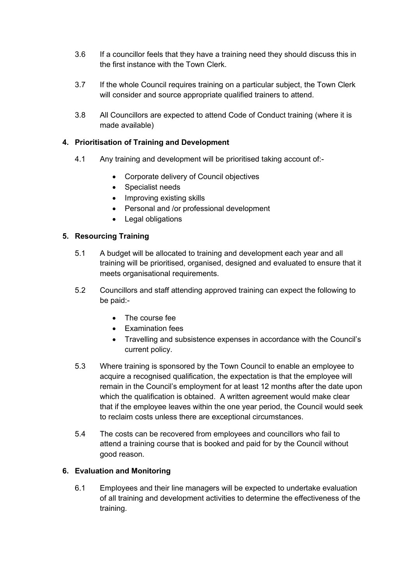- 3.6 If a councillor feels that they have a training need they should discuss this in the first instance with the Town Clerk.
- 3.7 If the whole Council requires training on a particular subject, the Town Clerk will consider and source appropriate qualified trainers to attend.
- 3.8 All Councillors are expected to attend Code of Conduct training (where it is made available)

## **4. Prioritisation of Training and Development**

- 4.1 Any training and development will be prioritised taking account of:-
	- Corporate delivery of Council objectives
	- Specialist needs
	- Improving existing skills
	- Personal and /or professional development
	- Legal obligations

### **5. Resourcing Training**

- 5.1 A budget will be allocated to training and development each year and all training will be prioritised, organised, designed and evaluated to ensure that it meets organisational requirements.
- 5.2 Councillors and staff attending approved training can expect the following to be paid:-
	- The course fee
	- Examination fees
	- Travelling and subsistence expenses in accordance with the Council's current policy.
- 5.3 Where training is sponsored by the Town Council to enable an employee to acquire a recognised qualification, the expectation is that the employee will remain in the Council's employment for at least 12 months after the date upon which the qualification is obtained. A written agreement would make clear that if the employee leaves within the one year period, the Council would seek to reclaim costs unless there are exceptional circumstances.
- 5.4 The costs can be recovered from employees and councillors who fail to attend a training course that is booked and paid for by the Council without good reason.

#### **6. Evaluation and Monitoring**

6.1 Employees and their line managers will be expected to undertake evaluation of all training and development activities to determine the effectiveness of the training.